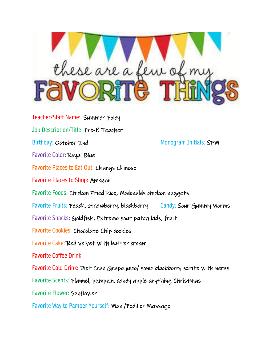

Teacher/Staff Name: Summer Foley Job Description/Title: Pre-K Teacher Birthday: October 2nd Monogram Initials: SFM Favorite Color: Royal Blue Favorite Places to Eat Out: Changs Chinese Favorite Places to Shop: Amazon Favorite Foods: Chicken Fried Rice, Mcdonalds chicken nuggets Favorite Fruits: Peach, strawberry, blackberry Candy: Sour Gummy Worms Favorite Snacks: Goldfish, Extreme sour patch kids, fruit Favorite Cookies: Chocolate Chip cookies Favorite Cake: Red velvet with butter cream Favorite Coffee Drink: Favorite Cold Drink: Diet Cran Grape juice/ sonic blackberry sprite with nerds Favorite Scents: Flannel, pumpkin, candy apple anything Christmas Favorite Flower: Sunflower Favorite Way to Pamper Yourself: Mani/Pedi! or Massage